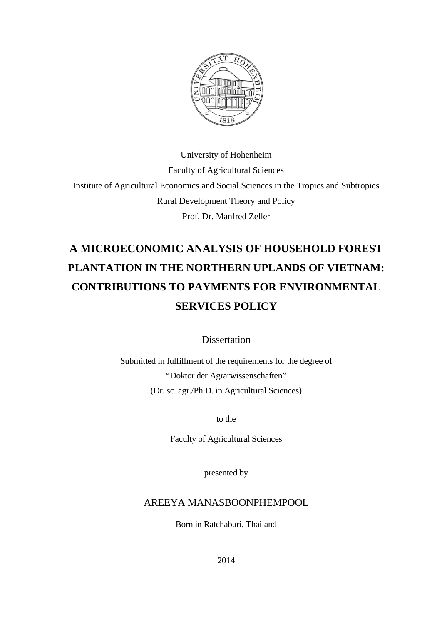

University of Hohenheim Faculty of Agricultural Sciences Institute of Agricultural Economics and Social Sciences in the Tropics and Subtropics Rural Development Theory and Policy Prof. Dr. Manfred Zeller

# **A MICROECONOMIC ANALYSIS OF HOUSEHOLD FOREST PLANTATION IN THE NORTHERN UPLANDS OF VIETNAM: CONTRIBUTIONS TO PAYMENTS FOR ENVIRONMENTAL SERVICES POLICY**

**Dissertation** 

Submitted in fulfillment of the requirements for the degree of "Doktor der Agrarwissenschaften" (Dr. sc. agr./Ph.D. in Agricultural Sciences)

to the

Faculty of Agricultural Sciences

presented by

### AREEYA MANASBOONPHEMPOOL

Born in Ratchaburi, Thailand

2014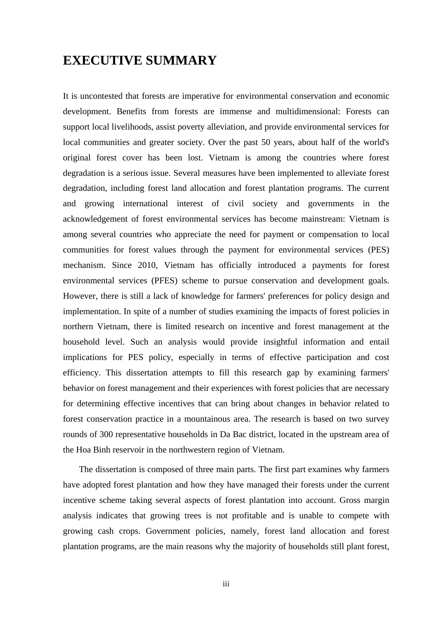## **EXECUTIVE SUMMARY**

It is uncontested that forests are imperative for environmental conservation and economic development. Benefits from forests are immense and multidimensional: Forests can support local livelihoods, assist poverty alleviation, and provide environmental services for local communities and greater society. Over the past 50 years, about half of the world's original forest cover has been lost. Vietnam is among the countries where forest degradation is a serious issue. Several measures have been implemented to alleviate forest degradation, including forest land allocation and forest plantation programs. The current and growing international interest of civil society and governments in the acknowledgement of forest environmental services has become mainstream: Vietnam is among several countries who appreciate the need for payment or compensation to local communities for forest values through the payment for environmental services (PES) mechanism. Since 2010, Vietnam has officially introduced a payments for forest environmental services (PFES) scheme to pursue conservation and development goals. However, there is still a lack of knowledge for farmers' preferences for policy design and implementation. In spite of a number of studies examining the impacts of forest policies in northern Vietnam, there is limited research on incentive and forest management at the household level. Such an analysis would provide insightful information and entail implications for PES policy, especially in terms of effective participation and cost efficiency. This dissertation attempts to fill this research gap by examining farmers' behavior on forest management and their experiences with forest policies that are necessary for determining effective incentives that can bring about changes in behavior related to forest conservation practice in a mountainous area. The research is based on two survey rounds of 300 representative households in Da Bac district, located in the upstream area of the Hoa Binh reservoir in the northwestern region of Vietnam.

The dissertation is composed of three main parts. The first part examines why farmers have adopted forest plantation and how they have managed their forests under the current incentive scheme taking several aspects of forest plantation into account. Gross margin analysis indicates that growing trees is not profitable and is unable to compete with growing cash crops. Government policies, namely, forest land allocation and forest plantation programs, are the main reasons why the majority of households still plant forest,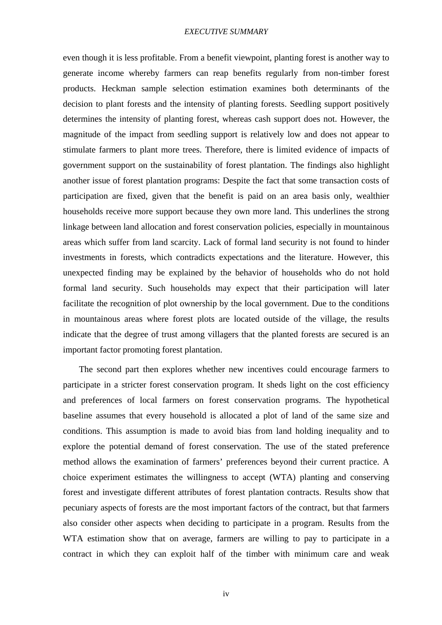### *EXECUTIVE SUMMARY*

even though it is less profitable. From a benefit viewpoint, planting forest is another way to generate income whereby farmers can reap benefits regularly from non-timber forest products. Heckman sample selection estimation examines both determinants of the decision to plant forests and the intensity of planting forests. Seedling support positively determines the intensity of planting forest, whereas cash support does not. However, the magnitude of the impact from seedling support is relatively low and does not appear to stimulate farmers to plant more trees. Therefore, there is limited evidence of impacts of government support on the sustainability of forest plantation. The findings also highlight another issue of forest plantation programs: Despite the fact that some transaction costs of participation are fixed, given that the benefit is paid on an area basis only, wealthier households receive more support because they own more land. This underlines the strong linkage between land allocation and forest conservation policies, especially in mountainous areas which suffer from land scarcity. Lack of formal land security is not found to hinder investments in forests, which contradicts expectations and the literature. However, this unexpected finding may be explained by the behavior of households who do not hold formal land security. Such households may expect that their participation will later facilitate the recognition of plot ownership by the local government. Due to the conditions in mountainous areas where forest plots are located outside of the village, the results indicate that the degree of trust among villagers that the planted forests are secured is an important factor promoting forest plantation.

The second part then explores whether new incentives could encourage farmers to participate in a stricter forest conservation program. It sheds light on the cost efficiency and preferences of local farmers on forest conservation programs. The hypothetical baseline assumes that every household is allocated a plot of land of the same size and conditions. This assumption is made to avoid bias from land holding inequality and to explore the potential demand of forest conservation. The use of the stated preference method allows the examination of farmers' preferences beyond their current practice. A choice experiment estimates the willingness to accept (WTA) planting and conserving forest and investigate different attributes of forest plantation contracts. Results show that pecuniary aspects of forests are the most important factors of the contract, but that farmers also consider other aspects when deciding to participate in a program. Results from the WTA estimation show that on average, farmers are willing to pay to participate in a contract in which they can exploit half of the timber with minimum care and weak

iv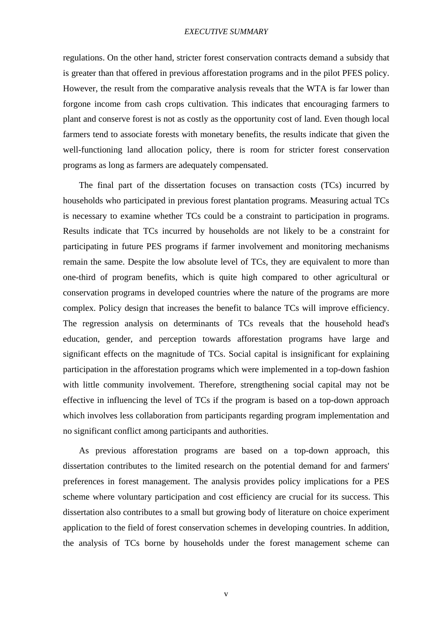### *EXECUTIVE SUMMARY*

regulations. On the other hand, stricter forest conservation contracts demand a subsidy that is greater than that offered in previous afforestation programs and in the pilot PFES policy. However, the result from the comparative analysis reveals that the WTA is far lower than forgone income from cash crops cultivation. This indicates that encouraging farmers to plant and conserve forest is not as costly as the opportunity cost of land. Even though local farmers tend to associate forests with monetary benefits, the results indicate that given the well-functioning land allocation policy, there is room for stricter forest conservation programs as long as farmers are adequately compensated.

The final part of the dissertation focuses on transaction costs (TCs) incurred by households who participated in previous forest plantation programs. Measuring actual TCs is necessary to examine whether TCs could be a constraint to participation in programs. Results indicate that TCs incurred by households are not likely to be a constraint for participating in future PES programs if farmer involvement and monitoring mechanisms remain the same. Despite the low absolute level of TCs, they are equivalent to more than one-third of program benefits, which is quite high compared to other agricultural or conservation programs in developed countries where the nature of the programs are more complex. Policy design that increases the benefit to balance TCs will improve efficiency. The regression analysis on determinants of TCs reveals that the household head's education, gender, and perception towards afforestation programs have large and significant effects on the magnitude of TCs. Social capital is insignificant for explaining participation in the afforestation programs which were implemented in a top-down fashion with little community involvement. Therefore, strengthening social capital may not be effective in influencing the level of TCs if the program is based on a top-down approach which involves less collaboration from participants regarding program implementation and no significant conflict among participants and authorities.

As previous afforestation programs are based on a top-down approach, this dissertation contributes to the limited research on the potential demand for and farmers' preferences in forest management. The analysis provides policy implications for a PES scheme where voluntary participation and cost efficiency are crucial for its success. This dissertation also contributes to a small but growing body of literature on choice experiment application to the field of forest conservation schemes in developing countries. In addition, the analysis of TCs borne by households under the forest management scheme can

v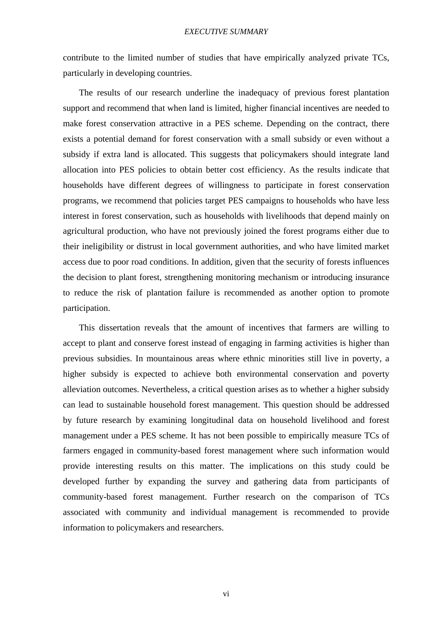contribute to the limited number of studies that have empirically analyzed private TCs, particularly in developing countries.

The results of our research underline the inadequacy of previous forest plantation support and recommend that when land is limited, higher financial incentives are needed to make forest conservation attractive in a PES scheme. Depending on the contract, there exists a potential demand for forest conservation with a small subsidy or even without a subsidy if extra land is allocated. This suggests that policymakers should integrate land allocation into PES policies to obtain better cost efficiency. As the results indicate that households have different degrees of willingness to participate in forest conservation programs, we recommend that policies target PES campaigns to households who have less interest in forest conservation, such as households with livelihoods that depend mainly on agricultural production, who have not previously joined the forest programs either due to their ineligibility or distrust in local government authorities, and who have limited market access due to poor road conditions. In addition, given that the security of forests influences the decision to plant forest, strengthening monitoring mechanism or introducing insurance to reduce the risk of plantation failure is recommended as another option to promote participation.

This dissertation reveals that the amount of incentives that farmers are willing to accept to plant and conserve forest instead of engaging in farming activities is higher than previous subsidies. In mountainous areas where ethnic minorities still live in poverty, a higher subsidy is expected to achieve both environmental conservation and poverty alleviation outcomes. Nevertheless, a critical question arises as to whether a higher subsidy can lead to sustainable household forest management. This question should be addressed by future research by examining longitudinal data on household livelihood and forest management under a PES scheme. It has not been possible to empirically measure TCs of farmers engaged in community-based forest management where such information would provide interesting results on this matter. The implications on this study could be developed further by expanding the survey and gathering data from participants of community-based forest management. Further research on the comparison of TCs associated with community and individual management is recommended to provide information to policymakers and researchers.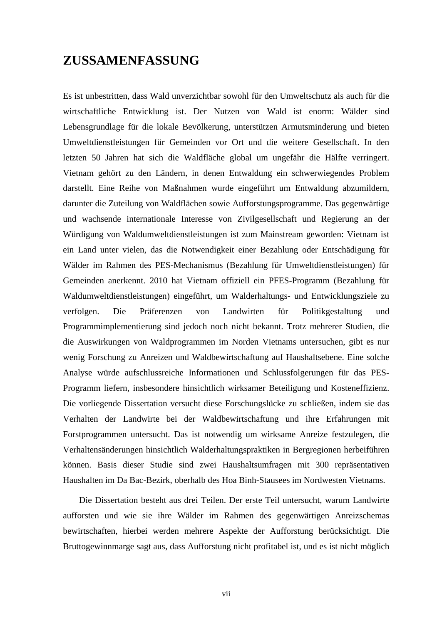Es ist unbestritten, dass Wald unverzichtbar sowohl für den Umweltschutz als auch für die wirtschaftliche Entwicklung ist. Der Nutzen von Wald ist enorm: Wälder sind Lebensgrundlage für die lokale Bevölkerung, unterstützen Armutsminderung und bieten Umweltdienstleistungen für Gemeinden vor Ort und die weitere Gesellschaft. In den letzten 50 Jahren hat sich die Waldfläche global um ungefähr die Hälfte verringert. Vietnam gehört zu den Ländern, in denen Entwaldung ein schwerwiegendes Problem darstellt. Eine Reihe von Maßnahmen wurde eingeführt um Entwaldung abzumildern, darunter die Zuteilung von Waldflächen sowie Aufforstungsprogramme. Das gegenwärtige und wachsende internationale Interesse von Zivilgesellschaft und Regierung an der Würdigung von Waldumweltdienstleistungen ist zum Mainstream geworden: Vietnam ist ein Land unter vielen, das die Notwendigkeit einer Bezahlung oder Entschädigung für Wälder im Rahmen des PES-Mechanismus (Bezahlung für Umweltdienstleistungen) für Gemeinden anerkennt. 2010 hat Vietnam offiziell ein PFES-Programm (Bezahlung für Waldumweltdienstleistungen) eingeführt, um Walderhaltungs- und Entwicklungsziele zu verfolgen. Die Präferenzen von Landwirten für Politikgestaltung und Programmimplementierung sind jedoch noch nicht bekannt. Trotz mehrerer Studien, die die Auswirkungen von Waldprogrammen im Norden Vietnams untersuchen, gibt es nur wenig Forschung zu Anreizen und Waldbewirtschaftung auf Haushaltsebene. Eine solche Analyse würde aufschlussreiche Informationen und Schlussfolgerungen für das PES-Programm liefern, insbesondere hinsichtlich wirksamer Beteiligung und Kosteneffizienz. Die vorliegende Dissertation versucht diese Forschungslücke zu schließen, indem sie das Verhalten der Landwirte bei der Waldbewirtschaftung und ihre Erfahrungen mit Forstprogrammen untersucht. Das ist notwendig um wirksame Anreize festzulegen, die Verhaltensänderungen hinsichtlich Walderhaltungspraktiken in Bergregionen herbeiführen können. Basis dieser Studie sind zwei Haushaltsumfragen mit 300 repräsentativen Haushalten im Da Bac-Bezirk, oberhalb des Hoa Binh-Stausees im Nordwesten Vietnams.

Die Dissertation besteht aus drei Teilen. Der erste Teil untersucht, warum Landwirte aufforsten und wie sie ihre Wälder im Rahmen des gegenwärtigen Anreizschemas bewirtschaften, hierbei werden mehrere Aspekte der Aufforstung berücksichtigt. Die Bruttogewinnmarge sagt aus, dass Aufforstung nicht profitabel ist, und es ist nicht möglich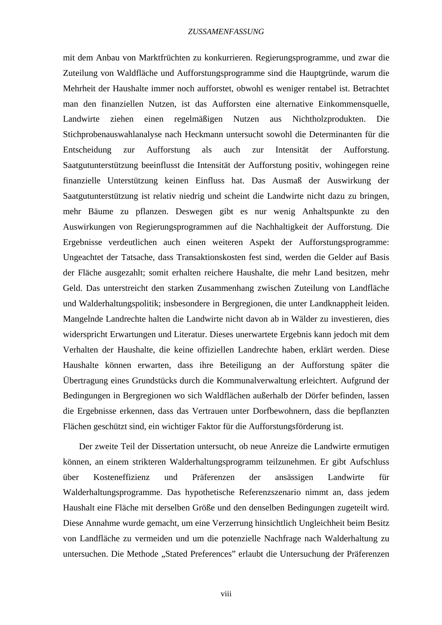mit dem Anbau von Marktfrüchten zu konkurrieren. Regierungsprogramme, und zwar die Zuteilung von Waldfläche und Aufforstungsprogramme sind die Hauptgründe, warum die Mehrheit der Haushalte immer noch aufforstet, obwohl es weniger rentabel ist. Betrachtet man den finanziellen Nutzen, ist das Aufforsten eine alternative Einkommensquelle, Landwirte ziehen einen regelmäßigen Nutzen aus Nichtholzprodukten. Die Stichprobenauswahlanalyse nach Heckmann untersucht sowohl die Determinanten für die Entscheidung zur Aufforstung als auch zur Intensität der Aufforstung. Saatgutunterstützung beeinflusst die Intensität der Aufforstung positiv, wohingegen reine finanzielle Unterstützung keinen Einfluss hat. Das Ausmaß der Auswirkung der Saatgutunterstützung ist relativ niedrig und scheint die Landwirte nicht dazu zu bringen, mehr Bäume zu pflanzen. Deswegen gibt es nur wenig Anhaltspunkte zu den Auswirkungen von Regierungsprogrammen auf die Nachhaltigkeit der Aufforstung. Die Ergebnisse verdeutlichen auch einen weiteren Aspekt der Aufforstungsprogramme: Ungeachtet der Tatsache, dass Transaktionskosten fest sind, werden die Gelder auf Basis der Fläche ausgezahlt; somit erhalten reichere Haushalte, die mehr Land besitzen, mehr Geld. Das unterstreicht den starken Zusammenhang zwischen Zuteilung von Landfläche und Walderhaltungspolitik; insbesondere in Bergregionen, die unter Landknappheit leiden. Mangelnde Landrechte halten die Landwirte nicht davon ab in Wälder zu investieren, dies widerspricht Erwartungen und Literatur. Dieses unerwartete Ergebnis kann jedoch mit dem Verhalten der Haushalte, die keine offiziellen Landrechte haben, erklärt werden. Diese Haushalte können erwarten, dass ihre Beteiligung an der Aufforstung später die Übertragung eines Grundstücks durch die Kommunalverwaltung erleichtert. Aufgrund der Bedingungen in Bergregionen wo sich Waldflächen außerhalb der Dörfer befinden, lassen die Ergebnisse erkennen, dass das Vertrauen unter Dorfbewohnern, dass die bepflanzten Flächen geschützt sind, ein wichtiger Faktor für die Aufforstungsförderung ist.

Der zweite Teil der Dissertation untersucht, ob neue Anreize die Landwirte ermutigen können, an einem strikteren Walderhaltungsprogramm teilzunehmen. Er gibt Aufschluss über Kosteneffizienz und Präferenzen der ansässigen Landwirte für Walderhaltungsprogramme. Das hypothetische Referenzszenario nimmt an, dass jedem Haushalt eine Fläche mit derselben Größe und den denselben Bedingungen zugeteilt wird. Diese Annahme wurde gemacht, um eine Verzerrung hinsichtlich Ungleichheit beim Besitz von Landfläche zu vermeiden und um die potenzielle Nachfrage nach Walderhaltung zu untersuchen. Die Methode "Stated Preferences" erlaubt die Untersuchung der Präferenzen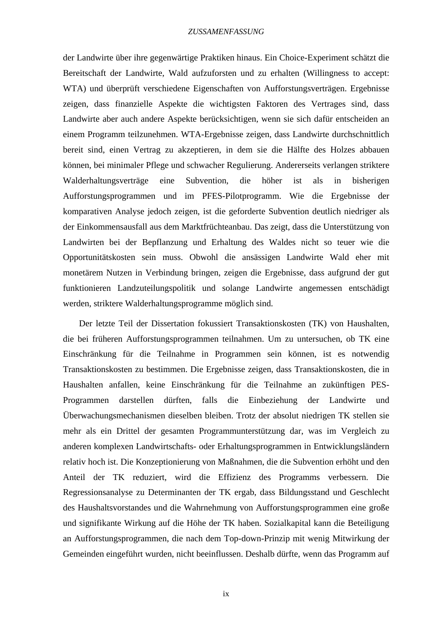der Landwirte über ihre gegenwärtige Praktiken hinaus. Ein Choice-Experiment schätzt die Bereitschaft der Landwirte, Wald aufzuforsten und zu erhalten (Willingness to accept: WTA) und überprüft verschiedene Eigenschaften von Aufforstungsverträgen. Ergebnisse zeigen, dass finanzielle Aspekte die wichtigsten Faktoren des Vertrages sind, dass Landwirte aber auch andere Aspekte berücksichtigen, wenn sie sich dafür entscheiden an einem Programm teilzunehmen. WTA-Ergebnisse zeigen, dass Landwirte durchschnittlich bereit sind, einen Vertrag zu akzeptieren, in dem sie die Hälfte des Holzes abbauen können, bei minimaler Pflege und schwacher Regulierung. Andererseits verlangen striktere Walderhaltungsverträge eine Subvention, die höher ist als in bisherigen Aufforstungsprogrammen und im PFES-Pilotprogramm. Wie die Ergebnisse der komparativen Analyse jedoch zeigen, ist die geforderte Subvention deutlich niedriger als der Einkommensausfall aus dem Marktfrüchteanbau. Das zeigt, dass die Unterstützung von Landwirten bei der Bepflanzung und Erhaltung des Waldes nicht so teuer wie die Opportunitätskosten sein muss. Obwohl die ansässigen Landwirte Wald eher mit monetärem Nutzen in Verbindung bringen, zeigen die Ergebnisse, dass aufgrund der gut funktionieren Landzuteilungspolitik und solange Landwirte angemessen entschädigt werden, striktere Walderhaltungsprogramme möglich sind.

Der letzte Teil der Dissertation fokussiert Transaktionskosten (TK) von Haushalten, die bei früheren Aufforstungsprogrammen teilnahmen. Um zu untersuchen, ob TK eine Einschränkung für die Teilnahme in Programmen sein können, ist es notwendig Transaktionskosten zu bestimmen. Die Ergebnisse zeigen, dass Transaktionskosten, die in Haushalten anfallen, keine Einschränkung für die Teilnahme an zukünftigen PES-Programmen darstellen dürften, falls die Einbeziehung der Landwirte und Überwachungsmechanismen dieselben bleiben. Trotz der absolut niedrigen TK stellen sie mehr als ein Drittel der gesamten Programmunterstützung dar, was im Vergleich zu anderen komplexen Landwirtschafts- oder Erhaltungsprogrammen in Entwicklungsländern relativ hoch ist. Die Konzeptionierung von Maßnahmen, die die Subvention erhöht und den Anteil der TK reduziert, wird die Effizienz des Programms verbessern. Die Regressionsanalyse zu Determinanten der TK ergab, dass Bildungsstand und Geschlecht des Haushaltsvorstandes und die Wahrnehmung von Aufforstungsprogrammen eine große und signifikante Wirkung auf die Höhe der TK haben. Sozialkapital kann die Beteiligung an Aufforstungsprogrammen, die nach dem Top-down-Prinzip mit wenig Mitwirkung der Gemeinden eingeführt wurden, nicht beeinflussen. Deshalb dürfte, wenn das Programm auf

ix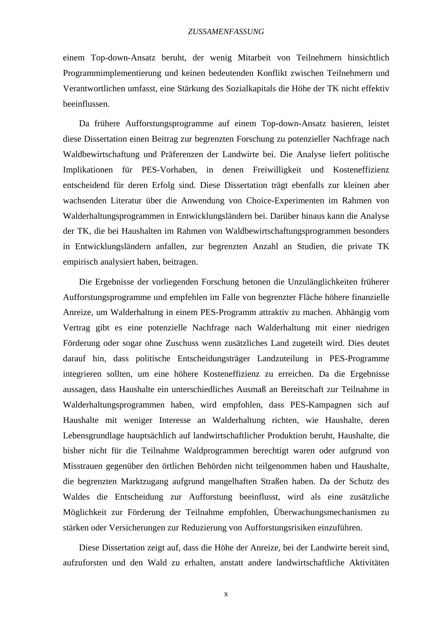einem Top-down-Ansatz beruht, der wenig Mitarbeit von Teilnehmern hinsichtlich Programmimplementierung und keinen bedeutenden Konflikt zwischen Teilnehmern und Verantwortlichen umfasst, eine Stärkung des Sozialkapitals die Höhe der TK nicht effektiv beeinflussen.

Da frühere Aufforstungsprogramme auf einem Top-down-Ansatz basieren, leistet diese Dissertation einen Beitrag zur begrenzten Forschung zu potenzieller Nachfrage nach Waldbewirtschaftung und Präferenzen der Landwirte bei. Die Analyse liefert politische Implikationen für PES-Vorhaben, in denen Freiwilligkeit und Kosteneffizienz entscheidend für deren Erfolg sind. Diese Dissertation trägt ebenfalls zur kleinen aber wachsenden Literatur über die Anwendung von Choice-Experimenten im Rahmen von Walderhaltungsprogrammen in Entwicklungsländern bei. Darüber hinaus kann die Analyse der TK, die bei Haushalten im Rahmen von Waldbewirtschaftungsprogrammen besonders in Entwicklungsländern anfallen, zur begrenzten Anzahl an Studien, die private TK empirisch analysiert haben, beitragen.

Die Ergebnisse der vorliegenden Forschung betonen die Unzulänglichkeiten früherer Aufforstungsprogramme und empfehlen im Falle von begrenzter Fläche höhere finanzielle Anreize, um Walderhaltung in einem PES-Programm attraktiv zu machen. Abhängig vom Vertrag gibt es eine potenzielle Nachfrage nach Walderhaltung mit einer niedrigen Förderung oder sogar ohne Zuschuss wenn zusätzliches Land zugeteilt wird. Dies deutet darauf hin, dass politische Entscheidungsträger Landzuteilung in PES-Programme integrieren sollten, um eine höhere Kosteneffizienz zu erreichen. Da die Ergebnisse aussagen, dass Haushalte ein unterschiedliches Ausmaß an Bereitschaft zur Teilnahme in Walderhaltungsprogrammen haben, wird empfohlen, dass PES-Kampagnen sich auf Haushalte mit weniger Interesse an Walderhaltung richten, wie Haushalte, deren Lebensgrundlage hauptsächlich auf landwirtschaftlicher Produktion beruht, Haushalte, die bisher nicht für die Teilnahme Waldprogrammen berechtigt waren oder aufgrund von Misstrauen gegenüber den örtlichen Behörden nicht teilgenommen haben und Haushalte, die begrenzten Marktzugang aufgrund mangelhaften Straßen haben. Da der Schutz des Waldes die Entscheidung zur Aufforstung beeinflusst, wird als eine zusätzliche Möglichkeit zur Förderung der Teilnahme empfohlen, Überwachungsmechanismen zu stärken oder Versicherungen zur Reduzierung von Aufforstungsrisiken einzuführen.

Diese Dissertation zeigt auf, dass die Höhe der Anreize, bei der Landwirte bereit sind, aufzuforsten und den Wald zu erhalten, anstatt andere landwirtschaftliche Aktivitäten

x